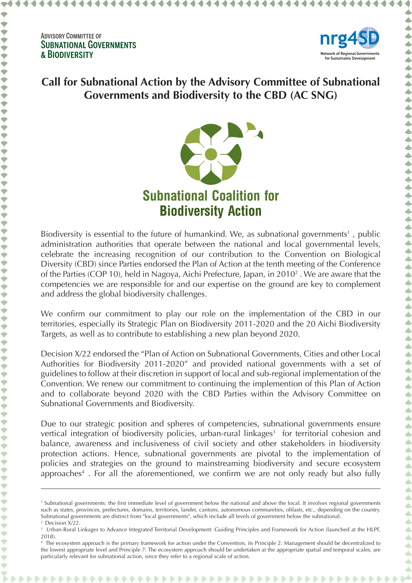

## **Call for Subnational Action by the Advisory Committee of Subnational Governments and Biodiversity to the CBD (AC SNG)**



Biodiversity is essential to the future of humankind. We, as subnational governments<sup>1</sup>, public administration authorities that operate between the national and local governmental levels, celebrate the increasing recognition of our contribution to the Convention on Biological Diversity (CBD) since Parties endorsed the Plan of Action at the tenth meeting of the Conference of the Parties (COP 10), held in Nagoya, Aichi Prefecture, Japan, in 2010<sup>2</sup>. We are aware that the competencies we are responsible for and our expertise on the ground are key to complement and address the global biodiversity challenges.

We confirm our commitment to play our role on the implementation of the CBD in our territories, especially its Strategic Plan on Biodiversity 2011-2020 and the 20 Aichi Biodiversity Targets, as well as to contribute to establishing a new plan beyond 2020.

Decision X/22 endorsed the "Plan of Action on Subnational Governments, Cities and other Local Authorities for Biodiversity 2011-2020" and provided national governments with a set of guidelines to follow at their discretion in support of local and sub-regional implementation of the Convention. We renew our commitment to continuing the implemention of this Plan of Action and to collaborate beyond 2020 with the CBD Parties within the Advisory Committee on Subnational Governments and Biodiversity.

Due to our strategic position and spheres of competencies, subnational governments ensure vertical integration of biodiversity policies, urban-rural linkages<sup>3</sup> for territorial cohesion and balance, awareness and inclusiveness of civil society and other stakeholders in biodiversity protection actions. Hence, subnational governments are pivotal to the implementation of policies and strategies on the ground to mainstreaming biodiversity and secure ecosystem approaches<sup>4</sup>. For all the aforementioned, we confirm we are not only ready but also fully

<sup>&</sup>lt;sup>1</sup> Subnational governments: the first immediate level of government below the national and above the local. It involves regional governments such as states, provinces, prefectures, domains, territories, lander, cantons, autonomous communities, oblasts, etc., depending on the country. Subnational governments are distinct from "local governments", which include all levels of government below the subnational. <sup>2</sup> Decision X<sub>/22</sub>.

<sup>3</sup> Urban-Rural Linkages to Advance Integrated Territorial Development: Guiding Principles and Framework for Action (launched at the HLPF, 2018).

<sup>4</sup> The ecosystem approach is the primary framework for action under the Convention, its Principle 2: Management should be decentralized to the lowest appropriate level and Principle 7: The ecosystem approach should be undertaken at the appropriate spatial and temporal scales, are particularly relevant for subnational action, since they refer to a regional scale of action.